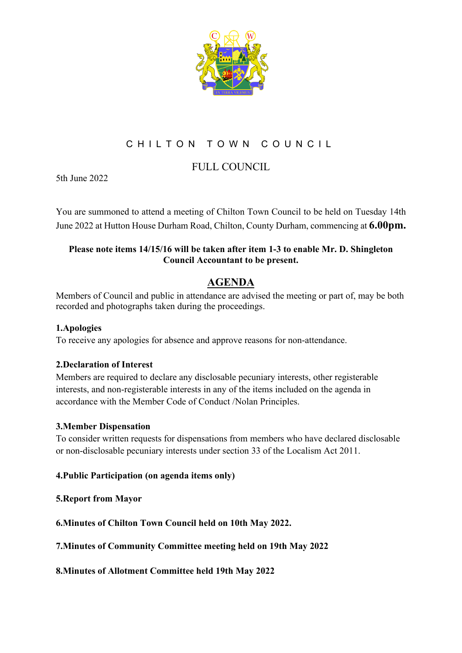

# CHILTON TOWN COUNCIL

## FULL COUNCIL

5th June 2022

You are summoned to attend a meeting of Chilton Town Council to be held on Tuesday 14th June 2022 at Hutton House Durham Road, Chilton, County Durham, commencing at **6.00pm.**

### **Please note items 14/15/16 will be taken after item 1-3 to enable Mr. D. Shingleton Council Accountant to be present.**

## **AGENDA**

Members of Council and public in attendance are advised the meeting or part of, may be both recorded and photographs taken during the proceedings.

#### **1.Apologies**

To receive any apologies for absence and approve reasons for non-attendance.

## **2.Declaration of Interest**

Members are required to declare any disclosable pecuniary interests, other registerable interests, and non-registerable interests in any of the items included on the agenda in accordance with the Member Code of Conduct /Nolan Principles.

#### **3.Member Dispensation**

To consider written requests for dispensations from members who have declared disclosable or non-disclosable pecuniary interests under section 33 of the Localism Act 2011.

## **4.Public Participation (on agenda items only)**

#### **5.Report from Mayor**

**6.Minutes of Chilton Town Council held on 10th May 2022.**

**7.Minutes of Community Committee meeting held on 19th May 2022**

#### **8.Minutes of Allotment Committee held 19th May 2022**